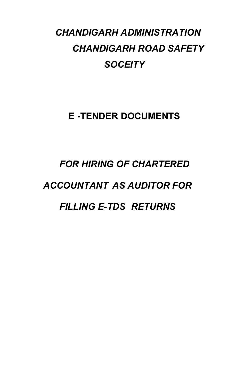## CHANDIGARH ADMINISTRATION CHANDIGARH ROAD SAFETY **SOCEITY**

### E -TENDER DOCUMENTS

# FOR HIRING OF CHARTERED ACCOUNTANT AS AUDITOR FOR FILLING E-TDS RETURNS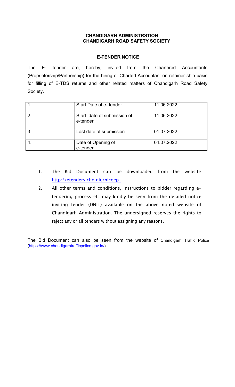#### CHANDIGARH ADMINISTRSTION CHANDIGARH ROAD SAFETY SOCIETY

#### E-TENDER NOTICE

The E- tender are, hereby, invited from the Chartered Accountants (Proprietorship/Partnership) for the hiring of Charted Accountant on retainer ship basis for filling of E-TDS returns and other related matters of Chandigarh Road Safety Society.

|                | Start Date of e- tender                 | 11.06.2022 |
|----------------|-----------------------------------------|------------|
| $\overline{2}$ | Start date of submission of<br>e-tender | 11.06.2022 |
| 3              | Last date of submission                 | 01.07.2022 |
|                | Date of Opening of<br>e-tender          | 04.07.2022 |

- 1. The Bid Document can be downloaded from the website http://etenders.chd.nic/nicgep .
- 2. All other terms and conditions, instructions to bidder regarding etendering process etc may kindly be seen from the detailed notice inviting tender (DNIT) available on the above noted website of Chandigarh Administration. The undersigned reserves the rights to reject any or all tenders without assigning any reasons.

The Bid Document can also be seen from the website of Chandigarh Traffic Police (https://www.chandigarhtrafficpolice.gov.in/).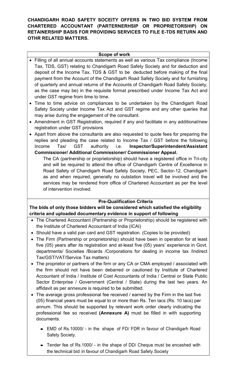#### CHANDIGARH ROAD SAFETY SOCEITY OFFERS IN TWO BID SYSTEM FROM CHARTERED ACCOUNTANT (PARTERNERHSIP OR PROPRIETORSHIP) ON RETAINERSHIP BASIS FOR PROVIDING SERVICES TO FILE E-TDS RETURN AND OTHR RELATED MATTERS.

#### Scope of work

- Filling of all annual accounts statements as well as various Tax compliance (Income Tax, TDS, GST) relating to Chandigarh Road Safety Society and for deduction and deposit of the Income Tax, TDS & GST to be deducted before making of the final payment from the Account of the Chandigarh Road Safety Society and for furnishing of quarterly and annual returns of the Accounts of Chandigarh Road Safety Society, as the case may be) in the requisite format prescribed under Income Tax Act and under GST regime from time to time.
- Time to time advice on compliances to be undertaken by the Chandigarh Road Safety Society under Income Tax Act and GST regime and any other queries that may arise during the engagement of the consultant.
- Amendment in GST Registration, required if any and facilitate in any additional/new registration under GST provisions
- Apart from above the consultants are also requested to quote fees for preparing the replies and pleading the case related to Income Tax / GST before the following Income Tax/ GST authority i.e. Inspector/Superintendent/Assistant Commissioner/ Additional Commissioner/ Commissioner Appeal.

The CA (partnership or proprietorship) should have a registered office in Tri-city and will be required to attend the office of Chandigarh Centre of Excellence in Road Safety of Chandigarh Road Safety Society, PEC, Sector-12, Chandigarh as and when required, generally no outstation travel will be involved and the services may be rendered from office of Chartered Accountant as per the level of intervention involved.

#### Pre-Qualification Criteria

#### The bids of only those bidders will be considered which satisfied the eligibility criteria and uploaded documentary evidence in support of following

- The Chartered Accountant (Partnership or Proprietorship) should be registered with the Institute of Chartered Accountant of India (ICAI)
- Should have a valid pan card and GST registration. (Copies to be provided)
- The Firm (Partnership or proprietorship) should have been in operation for at least five (05) years after its registration and at-least five (05) years' experience in Govt. departments/ Societies /Boards /Corporations for dealing in income tax /Indirect Tax/GST/VAT/Service Tax matters)
- The proprietor or partners of the firm or any CA or CMA employed / associated with the firm should not have been debarred or cautioned by Institute of Chartered Accountant of India / Institute of Cost Accountants of India / Central or State Public Sector Enterprise / Government (Central / State) during the last two years. An affidavit as per annexure is required to be submitted.
- The average gross professional fee received / earned by the Firm in the last five (05) financial years must be equal to or more than Rs. Ten lacs (Rs. 10 lacs) per annum. This should be supported by relevant work order clearly indicating the professional fee so received (Annexure A) must be filled in with supporting documents.
	- EMD of Rs.10000/ in the shape of FD/ FDR in favour of Chandigarh Road Safety Society.
	- Tender fee of Rs.1000/ in the shape of DD/ Cheque must be encashed with the technical bid in favour of Chandigarh Road Safety Society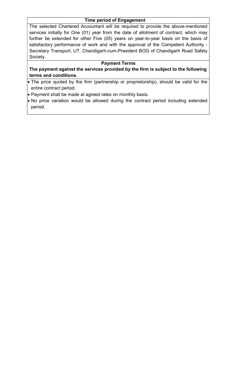#### Time period of Engagement

The selected Chartered Accountant will be required to provide the above-mentioned services initially for One (01) year from the date of allotment of contract, which may further be extended for other Five (05) years on year-to-year basis on the basis of satisfactory performance of work and with the approval of the Competent Authority - Secretary Transport, UT, Chandigarh-cum-President BOG of Chandigarh Road Safety Society.

#### Payment Terms

The payment against the services provided by the firm is subject to the following terms and conditions.

 The price quoted by the firm (partnership or proprietorship), should be valid for the entire contract period.

Payment shall be made at agreed rates on monthly basis.

 No price variation would be allowed during the contract period including extended period.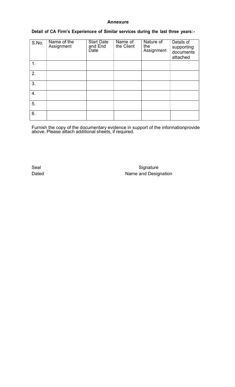#### Annexure

#### Detail of CA Firm's Experiencee of Similar services during the last three years:-

| S.No. | Name of the<br>Assignment | <b>Start Date</b><br>and End<br>Date | Name of<br>the Client | Nature of<br>the<br>Assignment | Details of<br>supporting<br>documents<br>attached |  |
|-------|---------------------------|--------------------------------------|-----------------------|--------------------------------|---------------------------------------------------|--|
| 1.    |                           |                                      |                       |                                |                                                   |  |
| 2.    |                           |                                      |                       |                                |                                                   |  |
| 3.    |                           |                                      |                       |                                |                                                   |  |
| 4.    |                           |                                      |                       |                                |                                                   |  |
| 5.    |                           |                                      |                       |                                |                                                   |  |
| 6.    |                           |                                      |                       |                                |                                                   |  |

Furnish the copy of the documentary evidence in support of the informationprovide above. Please attach additional sheets, if required.

Seal Seal Signature Signature Signature Signature Signature Dated **Name and Designation**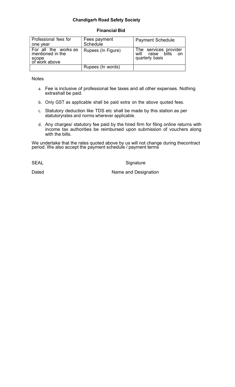#### Chandigarh Road Safety Society

#### Financial Bid

| Professional fees for<br>one year                                  | Fees payment<br><b>Schedule</b> | <b>Payment Schedule</b>                                               |
|--------------------------------------------------------------------|---------------------------------|-----------------------------------------------------------------------|
| For all the works as<br>mentioned in the<br>scope<br>of work above | Rupees (In Figure)              | The services provider<br>will<br>raise bills<br>on<br>quarterly basis |
|                                                                    | Rupees (In words)               |                                                                       |

**Notes** 

- a. Fee is inclusive of professional fee taxes and all other expenses. Nothing extrashall be paid.
- b. Only GST as applicable shall be paid extra on the above quoted fees.
- c. Statutory deduction like TDS etc shall be made by this station as per statutory rates and norms wherever applicable.
- d. Any charges/ statutory fee paid by the hired firm for filing online returns with income tax authorities be reimbursed upon submission of vouchers along with the bills.

We undertake that the rates quoted above by us will not change during thecontract period. We also accept the payment schedule / payment terms

SEAL SEAL Signature

Dated **Name and Designation**